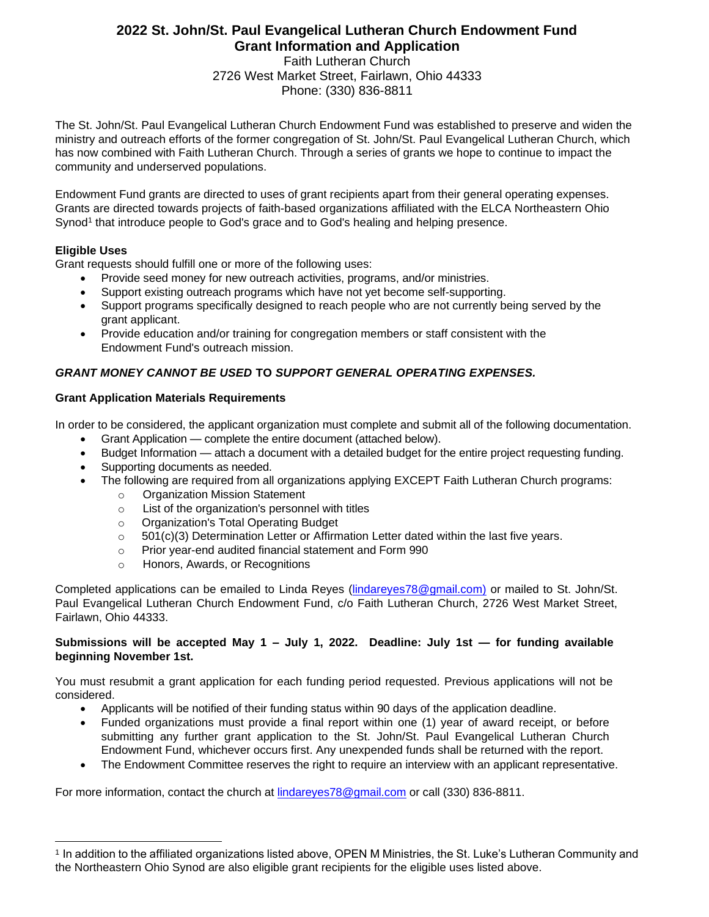### **2022 St. John/St. Paul Evangelical Lutheran Church Endowment Fund Grant Information and Application**

Faith Lutheran Church 2726 West Market Street, Fairlawn, Ohio 44333 Phone: (330) 836-8811

The St. John/St. Paul Evangelical Lutheran Church Endowment Fund was established to preserve and widen the ministry and outreach efforts of the former congregation of St. John/St. Paul Evangelical Lutheran Church, which has now combined with Faith Lutheran Church. Through a series of grants we hope to continue to impact the community and underserved populations.

Endowment Fund grants are directed to uses of grant recipients apart from their general operating expenses. Grants are directed towards projects of faith-based organizations affiliated with the ELCA Northeastern Ohio Synod<sup>1</sup> that introduce people to God's grace and to God's healing and helping presence.

#### **Eligible Uses**

Grant requests should fulfill one or more of the following uses:

- Provide seed money for new outreach activities, programs, and/or ministries.
- Support existing outreach programs which have not yet become self-supporting.
- Support programs specifically designed to reach people who are not currently being served by the grant applicant.
- Provide education and/or training for congregation members or staff consistent with the Endowment Fund's outreach mission.

#### *GRANT MONEY CANNOT BE USED* **TO** *SUPPORT GENERAL OPERATING EXPENSES.*

#### **Grant Application Materials Requirements**

In order to be considered, the applicant organization must complete and submit all of the following documentation.

- Grant Application complete the entire document (attached below).
- Budget Information attach a document with a detailed budget for the entire project requesting funding.
- Supporting documents as needed.
- The following are required from all organizations applying EXCEPT Faith Lutheran Church programs:
	- o Organization Mission Statement
	- o List of the organization's personnel with titles
	- o Organization's Total Operating Budget
	- $\circ$  501(c)(3) Determination Letter or Affirmation Letter dated within the last five years.
	- o Prior year-end audited financial statement and Form 990
	- o Honors, Awards, or Recognitions

Completed applications can be emailed to Linda Reyes (lindareyes78@gmail.com) or mailed to St. John/St. Paul Evangelical Lutheran Church Endowment Fund, c/o Faith Lutheran Church, 2726 West Market Street, Fairlawn, Ohio 44333.

#### **Submissions will be accepted May 1 – July 1, 2022. Deadline: July 1st — for funding available beginning November 1st.**

You must resubmit a grant application for each funding period requested. Previous applications will not be considered.

- Applicants will be notified of their funding status within 90 days of the application deadline.
- Funded organizations must provide a final report within one (1) year of award receipt, or before submitting any further grant application to the St. John/St. Paul Evangelical Lutheran Church Endowment Fund, whichever occurs first. Any unexpended funds shall be returned with the report.
- The Endowment Committee reserves the right to require an interview with an applicant representative.

For more information, contact the church at [lindareyes78@gmail.com](mailto:lindareyes78@gmail.com) or call (330) 836-8811.

<sup>1</sup> In addition to the affiliated organizations listed above, OPEN M Ministries, the St. Luke's Lutheran Community and the Northeastern Ohio Synod are also eligible grant recipients for the eligible uses listed above.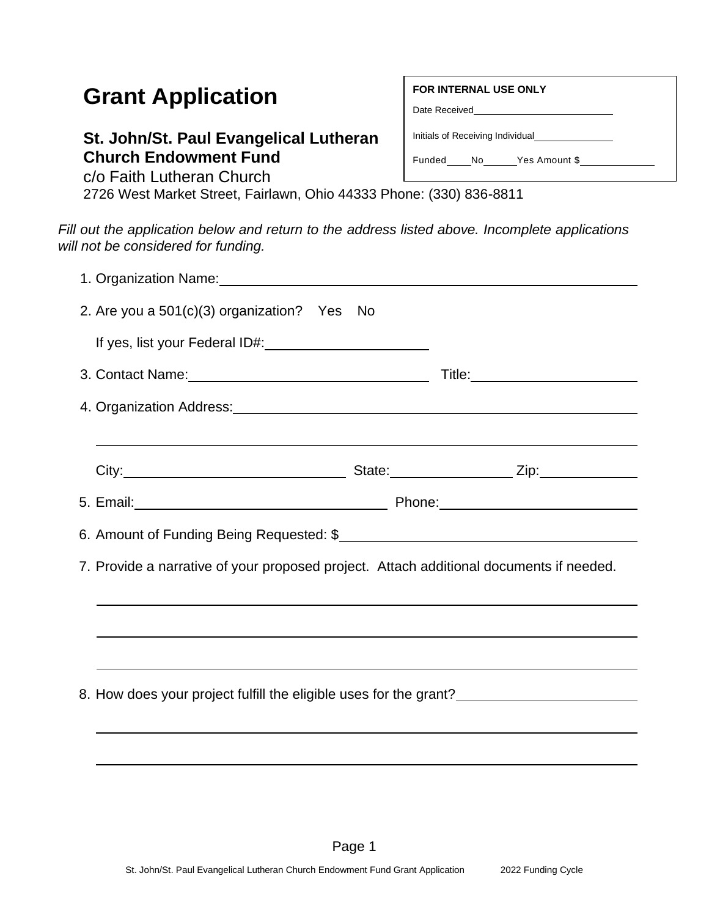# **Grant Application**

## **St. John/St. Paul Evangelical Lutheran Church Endowment Fund**

c/o Faith Lutheran Church

2726 West Market Street, Fairlawn, Ohio 44333 Phone: (330) 836-8811

*Fill out the application below and return to the address listed above. Incomplete applications will not be considered for funding.*

| 1. Organization Name: <b>Manual According to the Contract of According to the Contract of According to the Contract of According to the Contract of According to the Contract of According to the Contract of According to the C</b> |  |  |  |  |  |  |  |  |
|--------------------------------------------------------------------------------------------------------------------------------------------------------------------------------------------------------------------------------------|--|--|--|--|--|--|--|--|
| 2. Are you a 501(c)(3) organization? Yes No                                                                                                                                                                                          |  |  |  |  |  |  |  |  |
|                                                                                                                                                                                                                                      |  |  |  |  |  |  |  |  |
|                                                                                                                                                                                                                                      |  |  |  |  |  |  |  |  |
| 4. Organization Address: 1.1. 2008 1.2. 2009 1.2. 2010 1.2. 2010 1.2. 2010 1.2. 2010 1.2. 2010 1.2. 2010 1.2.                                                                                                                        |  |  |  |  |  |  |  |  |
|                                                                                                                                                                                                                                      |  |  |  |  |  |  |  |  |
|                                                                                                                                                                                                                                      |  |  |  |  |  |  |  |  |
|                                                                                                                                                                                                                                      |  |  |  |  |  |  |  |  |
|                                                                                                                                                                                                                                      |  |  |  |  |  |  |  |  |
| 7. Provide a narrative of your proposed project. Attach additional documents if needed.                                                                                                                                              |  |  |  |  |  |  |  |  |
|                                                                                                                                                                                                                                      |  |  |  |  |  |  |  |  |
|                                                                                                                                                                                                                                      |  |  |  |  |  |  |  |  |
|                                                                                                                                                                                                                                      |  |  |  |  |  |  |  |  |
| 8. How does your project fulfill the eligible uses for the grant?___________________________________                                                                                                                                 |  |  |  |  |  |  |  |  |
|                                                                                                                                                                                                                                      |  |  |  |  |  |  |  |  |
|                                                                                                                                                                                                                                      |  |  |  |  |  |  |  |  |
|                                                                                                                                                                                                                                      |  |  |  |  |  |  |  |  |

#### **FOR INTERNAL USE ONLY**

Date Received

Initials of Receiving Individual

Funded No Yes Amount \$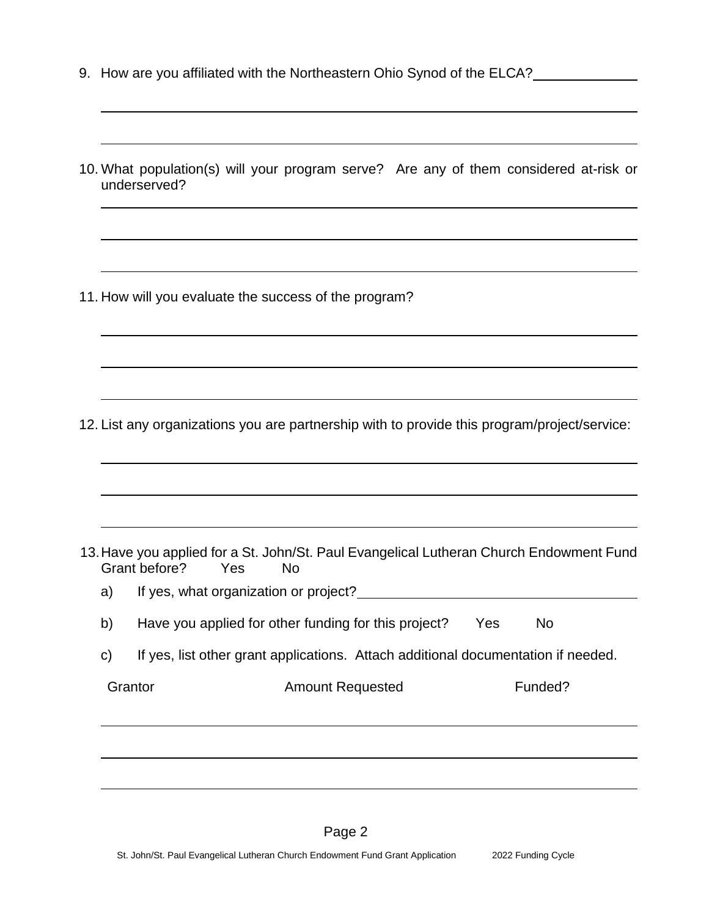- 9. How are you affiliated with the Northeastern Ohio Synod of the ELCA?
- 10. What population(s) will your program serve? Are any of them considered at-risk or underserved?

11. How will you evaluate the success of the program?

12. List any organizations you are partnership with to provide this program/project/service:

|              | Grant before?                         | Yes | No.                     | 13. Have you applied for a St. John/St. Paul Evangelical Lutheran Church Endowment Fund |     |           |  |
|--------------|---------------------------------------|-----|-------------------------|-----------------------------------------------------------------------------------------|-----|-----------|--|
| a)           | If yes, what organization or project? |     |                         |                                                                                         |     |           |  |
| b)           |                                       |     |                         | Have you applied for other funding for this project?                                    | Yes | <b>No</b> |  |
| $\mathbf{C}$ |                                       |     |                         | If yes, list other grant applications. Attach additional documentation if needed.       |     |           |  |
| Grantor      |                                       |     | <b>Amount Requested</b> |                                                                                         |     | Funded?   |  |
|              |                                       |     |                         |                                                                                         |     |           |  |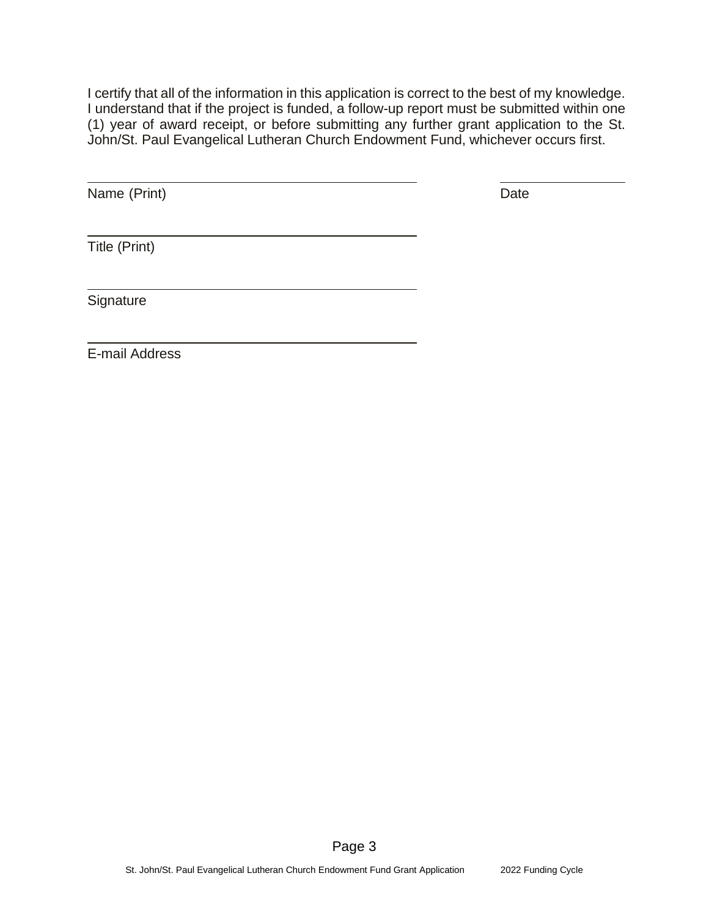I certify that all of the information in this application is correct to the best of my knowledge. I understand that if the project is funded, a follow-up report must be submitted within one (1) year of award receipt, or before submitting any further grant application to the St. John/St. Paul Evangelical Lutheran Church Endowment Fund, whichever occurs first.

Name (Print) Date

Title (Print)

**Signature** 

E-mail Address